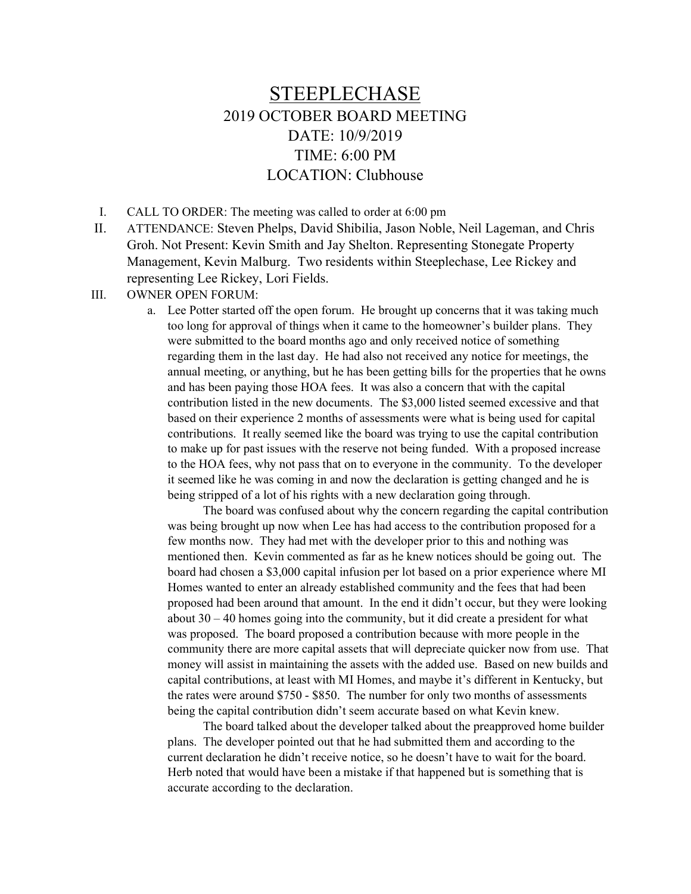## STEEPLECHASE 2019 OCTOBER BOARD MEETING DATE: 10/9/2019 TIME: 6:00 PM LOCATION: Clubhouse

I. CALL TO ORDER: The meeting was called to order at 6:00 pm

- II. ATTENDANCE: Steven Phelps, David Shibilia, Jason Noble, Neil Lageman, and Chris Groh. Not Present: Kevin Smith and Jay Shelton. Representing Stonegate Property Management, Kevin Malburg. Two residents within Steeplechase, Lee Rickey and representing Lee Rickey, Lori Fields.
- III. OWNER OPEN FORUM:
	- a. Lee Potter started off the open forum. He brought up concerns that it was taking much too long for approval of things when it came to the homeowner's builder plans. They were submitted to the board months ago and only received notice of something regarding them in the last day. He had also not received any notice for meetings, the annual meeting, or anything, but he has been getting bills for the properties that he owns and has been paying those HOA fees. It was also a concern that with the capital contribution listed in the new documents. The \$3,000 listed seemed excessive and that based on their experience 2 months of assessments were what is being used for capital contributions. It really seemed like the board was trying to use the capital contribution to make up for past issues with the reserve not being funded. With a proposed increase to the HOA fees, why not pass that on to everyone in the community. To the developer it seemed like he was coming in and now the declaration is getting changed and he is being stripped of a lot of his rights with a new declaration going through.

 The board was confused about why the concern regarding the capital contribution was being brought up now when Lee has had access to the contribution proposed for a few months now. They had met with the developer prior to this and nothing was mentioned then. Kevin commented as far as he knew notices should be going out. The board had chosen a \$3,000 capital infusion per lot based on a prior experience where MI Homes wanted to enter an already established community and the fees that had been proposed had been around that amount. In the end it didn't occur, but they were looking about 30 – 40 homes going into the community, but it did create a president for what was proposed. The board proposed a contribution because with more people in the community there are more capital assets that will depreciate quicker now from use. That money will assist in maintaining the assets with the added use. Based on new builds and capital contributions, at least with MI Homes, and maybe it's different in Kentucky, but the rates were around \$750 - \$850. The number for only two months of assessments being the capital contribution didn't seem accurate based on what Kevin knew.

 The board talked about the developer talked about the preapproved home builder plans. The developer pointed out that he had submitted them and according to the current declaration he didn't receive notice, so he doesn't have to wait for the board. Herb noted that would have been a mistake if that happened but is something that is accurate according to the declaration.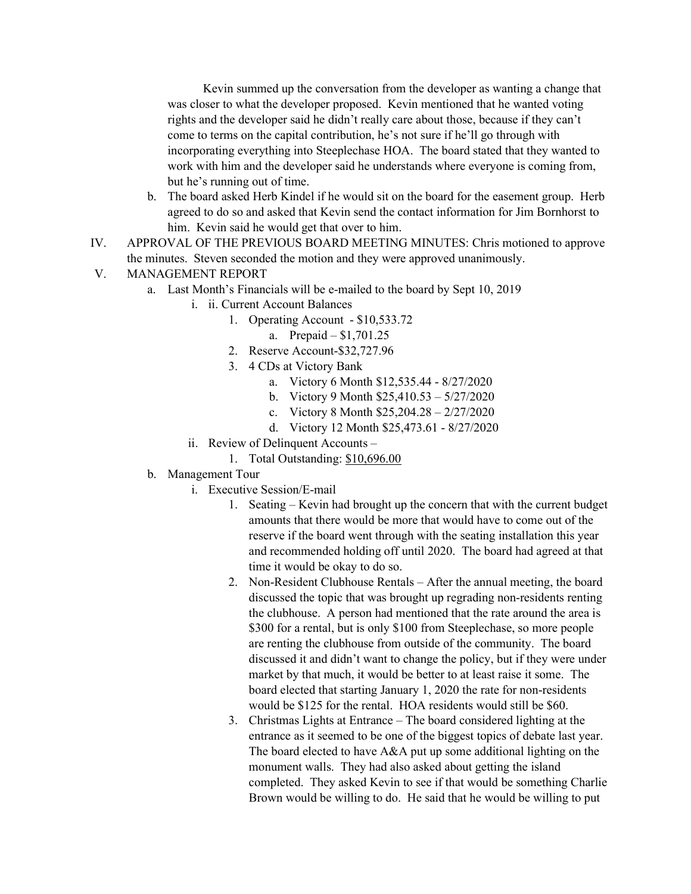Kevin summed up the conversation from the developer as wanting a change that was closer to what the developer proposed. Kevin mentioned that he wanted voting rights and the developer said he didn't really care about those, because if they can't come to terms on the capital contribution, he's not sure if he'll go through with incorporating everything into Steeplechase HOA. The board stated that they wanted to work with him and the developer said he understands where everyone is coming from, but he's running out of time.

- b. The board asked Herb Kindel if he would sit on the board for the easement group. Herb agreed to do so and asked that Kevin send the contact information for Jim Bornhorst to him. Kevin said he would get that over to him.
- IV. APPROVAL OF THE PREVIOUS BOARD MEETING MINUTES: Chris motioned to approve the minutes. Steven seconded the motion and they were approved unanimously.

## V. MANAGEMENT REPORT

- a. Last Month's Financials will be e-mailed to the board by Sept 10, 2019
	- i. ii. Current Account Balances
		- 1. Operating Account \$10,533.72
			- a. Prepaid \$1,701.25
		- 2. Reserve Account-\$32,727.96
		- 3. 4 CDs at Victory Bank
			- a. Victory 6 Month \$12,535.44 8/27/2020
			- b. Victory 9 Month \$25,410.53 5/27/2020
			- c. Victory 8 Month \$25,204.28 2/27/2020
			- d. Victory 12 Month \$25,473.61 8/27/2020
	- ii. Review of Delinquent Accounts
		- 1. Total Outstanding: \$10,696.00

## b. Management Tour

- i. Executive Session/E-mail
	- 1. Seating Kevin had brought up the concern that with the current budget amounts that there would be more that would have to come out of the reserve if the board went through with the seating installation this year and recommended holding off until 2020. The board had agreed at that time it would be okay to do so.
	- 2. Non-Resident Clubhouse Rentals After the annual meeting, the board discussed the topic that was brought up regrading non-residents renting the clubhouse. A person had mentioned that the rate around the area is \$300 for a rental, but is only \$100 from Steeplechase, so more people are renting the clubhouse from outside of the community. The board discussed it and didn't want to change the policy, but if they were under market by that much, it would be better to at least raise it some. The board elected that starting January 1, 2020 the rate for non-residents would be \$125 for the rental. HOA residents would still be \$60.
	- 3. Christmas Lights at Entrance The board considered lighting at the entrance as it seemed to be one of the biggest topics of debate last year. The board elected to have A&A put up some additional lighting on the monument walls. They had also asked about getting the island completed. They asked Kevin to see if that would be something Charlie Brown would be willing to do. He said that he would be willing to put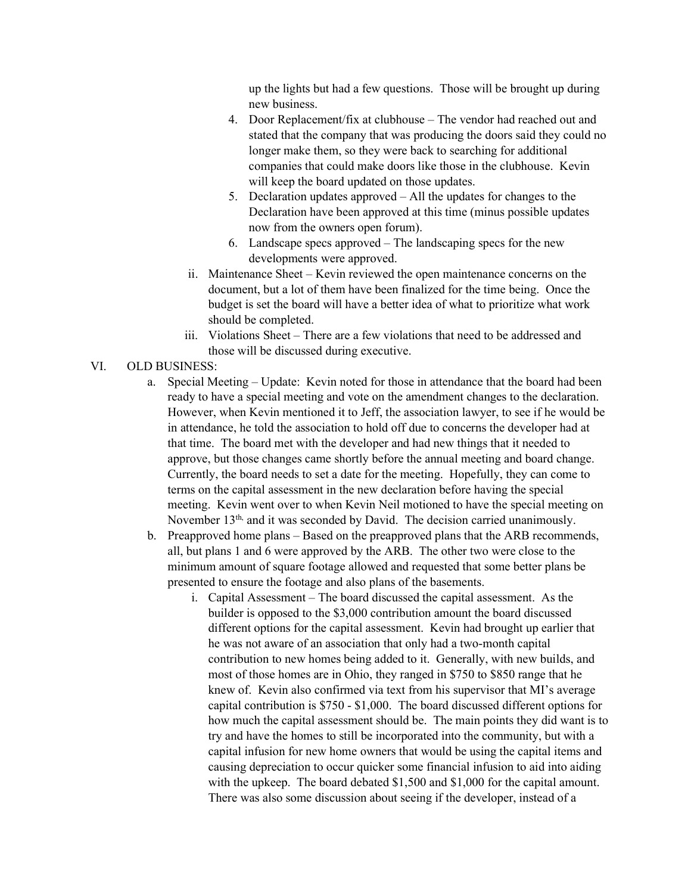up the lights but had a few questions. Those will be brought up during new business.

- 4. Door Replacement/fix at clubhouse The vendor had reached out and stated that the company that was producing the doors said they could no longer make them, so they were back to searching for additional companies that could make doors like those in the clubhouse. Kevin will keep the board updated on those updates.
- 5. Declaration updates approved All the updates for changes to the Declaration have been approved at this time (minus possible updates now from the owners open forum).
- 6. Landscape specs approved The landscaping specs for the new developments were approved.
- ii. Maintenance Sheet Kevin reviewed the open maintenance concerns on the document, but a lot of them have been finalized for the time being. Once the budget is set the board will have a better idea of what to prioritize what work should be completed.
- iii. Violations Sheet There are a few violations that need to be addressed and those will be discussed during executive.

## VI. OLD BUSINESS:

- a. Special Meeting Update: Kevin noted for those in attendance that the board had been ready to have a special meeting and vote on the amendment changes to the declaration. However, when Kevin mentioned it to Jeff, the association lawyer, to see if he would be in attendance, he told the association to hold off due to concerns the developer had at that time. The board met with the developer and had new things that it needed to approve, but those changes came shortly before the annual meeting and board change. Currently, the board needs to set a date for the meeting. Hopefully, they can come to terms on the capital assessment in the new declaration before having the special meeting. Kevin went over to when Kevin Neil motioned to have the special meeting on November 13<sup>th,</sup> and it was seconded by David. The decision carried unanimously.
- b. Preapproved home plans Based on the preapproved plans that the ARB recommends, all, but plans 1 and 6 were approved by the ARB. The other two were close to the minimum amount of square footage allowed and requested that some better plans be presented to ensure the footage and also plans of the basements.
	- i. Capital Assessment The board discussed the capital assessment. As the builder is opposed to the \$3,000 contribution amount the board discussed different options for the capital assessment. Kevin had brought up earlier that he was not aware of an association that only had a two-month capital contribution to new homes being added to it. Generally, with new builds, and most of those homes are in Ohio, they ranged in \$750 to \$850 range that he knew of. Kevin also confirmed via text from his supervisor that MI's average capital contribution is \$750 - \$1,000. The board discussed different options for how much the capital assessment should be. The main points they did want is to try and have the homes to still be incorporated into the community, but with a capital infusion for new home owners that would be using the capital items and causing depreciation to occur quicker some financial infusion to aid into aiding with the upkeep. The board debated \$1,500 and \$1,000 for the capital amount. There was also some discussion about seeing if the developer, instead of a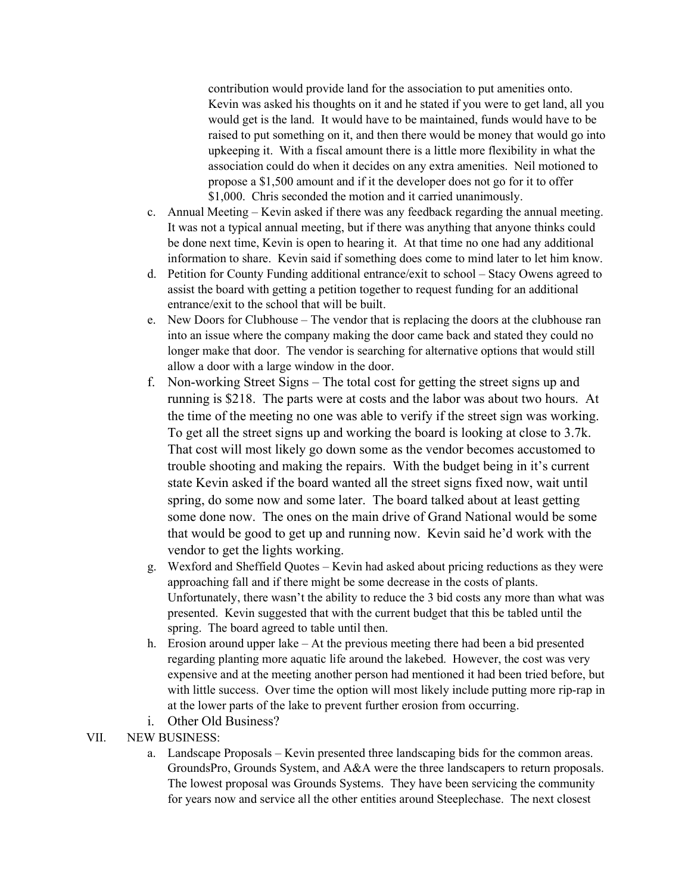contribution would provide land for the association to put amenities onto. Kevin was asked his thoughts on it and he stated if you were to get land, all you would get is the land. It would have to be maintained, funds would have to be raised to put something on it, and then there would be money that would go into upkeeping it. With a fiscal amount there is a little more flexibility in what the association could do when it decides on any extra amenities. Neil motioned to propose a \$1,500 amount and if it the developer does not go for it to offer \$1,000. Chris seconded the motion and it carried unanimously.

- c. Annual Meeting Kevin asked if there was any feedback regarding the annual meeting. It was not a typical annual meeting, but if there was anything that anyone thinks could be done next time, Kevin is open to hearing it. At that time no one had any additional information to share. Kevin said if something does come to mind later to let him know.
- d. Petition for County Funding additional entrance/exit to school Stacy Owens agreed to assist the board with getting a petition together to request funding for an additional entrance/exit to the school that will be built.
- e. New Doors for Clubhouse The vendor that is replacing the doors at the clubhouse ran into an issue where the company making the door came back and stated they could no longer make that door. The vendor is searching for alternative options that would still allow a door with a large window in the door.
- f. Non-working Street Signs The total cost for getting the street signs up and running is \$218. The parts were at costs and the labor was about two hours. At the time of the meeting no one was able to verify if the street sign was working. To get all the street signs up and working the board is looking at close to 3.7k. That cost will most likely go down some as the vendor becomes accustomed to trouble shooting and making the repairs. With the budget being in it's current state Kevin asked if the board wanted all the street signs fixed now, wait until spring, do some now and some later. The board talked about at least getting some done now. The ones on the main drive of Grand National would be some that would be good to get up and running now. Kevin said he'd work with the vendor to get the lights working.
- g. Wexford and Sheffield Quotes Kevin had asked about pricing reductions as they were approaching fall and if there might be some decrease in the costs of plants. Unfortunately, there wasn't the ability to reduce the 3 bid costs any more than what was presented. Kevin suggested that with the current budget that this be tabled until the spring. The board agreed to table until then.
- h. Erosion around upper lake At the previous meeting there had been a bid presented regarding planting more aquatic life around the lakebed. However, the cost was very expensive and at the meeting another person had mentioned it had been tried before, but with little success. Over time the option will most likely include putting more rip-rap in at the lower parts of the lake to prevent further erosion from occurring.
- i. Other Old Business?
- VII. NEW BUSINESS:
	- a. Landscape Proposals Kevin presented three landscaping bids for the common areas. GroundsPro, Grounds System, and A&A were the three landscapers to return proposals. The lowest proposal was Grounds Systems. They have been servicing the community for years now and service all the other entities around Steeplechase. The next closest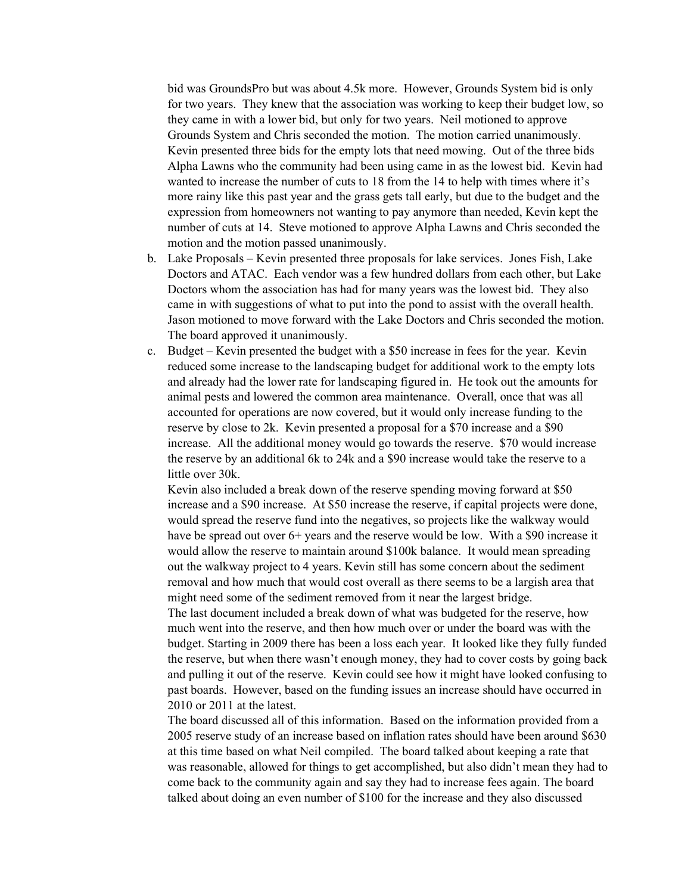bid was GroundsPro but was about 4.5k more. However, Grounds System bid is only for two years. They knew that the association was working to keep their budget low, so they came in with a lower bid, but only for two years. Neil motioned to approve Grounds System and Chris seconded the motion. The motion carried unanimously. Kevin presented three bids for the empty lots that need mowing. Out of the three bids Alpha Lawns who the community had been using came in as the lowest bid. Kevin had wanted to increase the number of cuts to 18 from the 14 to help with times where it's more rainy like this past year and the grass gets tall early, but due to the budget and the expression from homeowners not wanting to pay anymore than needed, Kevin kept the number of cuts at 14. Steve motioned to approve Alpha Lawns and Chris seconded the motion and the motion passed unanimously.

- b. Lake Proposals Kevin presented three proposals for lake services. Jones Fish, Lake Doctors and ATAC. Each vendor was a few hundred dollars from each other, but Lake Doctors whom the association has had for many years was the lowest bid. They also came in with suggestions of what to put into the pond to assist with the overall health. Jason motioned to move forward with the Lake Doctors and Chris seconded the motion. The board approved it unanimously.
- c. Budget Kevin presented the budget with a \$50 increase in fees for the year. Kevin reduced some increase to the landscaping budget for additional work to the empty lots and already had the lower rate for landscaping figured in. He took out the amounts for animal pests and lowered the common area maintenance. Overall, once that was all accounted for operations are now covered, but it would only increase funding to the reserve by close to 2k. Kevin presented a proposal for a \$70 increase and a \$90 increase. All the additional money would go towards the reserve. \$70 would increase the reserve by an additional 6k to 24k and a \$90 increase would take the reserve to a little over 30k.

Kevin also included a break down of the reserve spending moving forward at \$50 increase and a \$90 increase. At \$50 increase the reserve, if capital projects were done, would spread the reserve fund into the negatives, so projects like the walkway would have be spread out over 6+ years and the reserve would be low. With a \$90 increase it would allow the reserve to maintain around \$100k balance. It would mean spreading out the walkway project to 4 years. Kevin still has some concern about the sediment removal and how much that would cost overall as there seems to be a largish area that might need some of the sediment removed from it near the largest bridge.

The last document included a break down of what was budgeted for the reserve, how much went into the reserve, and then how much over or under the board was with the budget. Starting in 2009 there has been a loss each year. It looked like they fully funded the reserve, but when there wasn't enough money, they had to cover costs by going back and pulling it out of the reserve. Kevin could see how it might have looked confusing to past boards. However, based on the funding issues an increase should have occurred in 2010 or 2011 at the latest.

The board discussed all of this information. Based on the information provided from a 2005 reserve study of an increase based on inflation rates should have been around \$630 at this time based on what Neil compiled. The board talked about keeping a rate that was reasonable, allowed for things to get accomplished, but also didn't mean they had to come back to the community again and say they had to increase fees again. The board talked about doing an even number of \$100 for the increase and they also discussed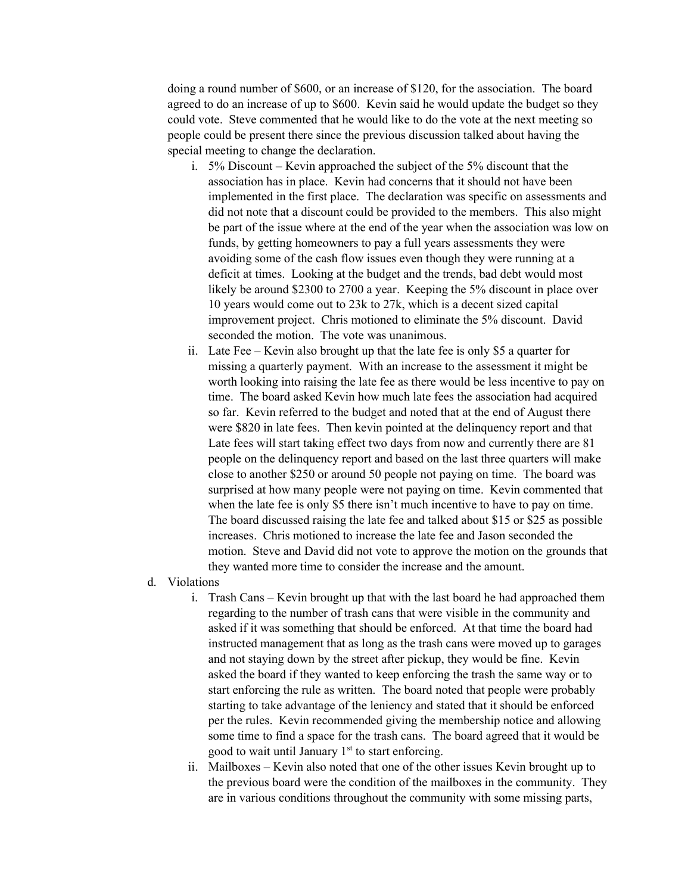doing a round number of \$600, or an increase of \$120, for the association. The board agreed to do an increase of up to \$600. Kevin said he would update the budget so they could vote. Steve commented that he would like to do the vote at the next meeting so people could be present there since the previous discussion talked about having the special meeting to change the declaration.

- i. 5% Discount Kevin approached the subject of the 5% discount that the association has in place. Kevin had concerns that it should not have been implemented in the first place. The declaration was specific on assessments and did not note that a discount could be provided to the members. This also might be part of the issue where at the end of the year when the association was low on funds, by getting homeowners to pay a full years assessments they were avoiding some of the cash flow issues even though they were running at a deficit at times. Looking at the budget and the trends, bad debt would most likely be around \$2300 to 2700 a year. Keeping the 5% discount in place over 10 years would come out to 23k to 27k, which is a decent sized capital improvement project. Chris motioned to eliminate the 5% discount. David seconded the motion. The vote was unanimous.
- ii. Late Fee Kevin also brought up that the late fee is only \$5 a quarter for missing a quarterly payment. With an increase to the assessment it might be worth looking into raising the late fee as there would be less incentive to pay on time. The board asked Kevin how much late fees the association had acquired so far. Kevin referred to the budget and noted that at the end of August there were \$820 in late fees. Then kevin pointed at the delinquency report and that Late fees will start taking effect two days from now and currently there are 81 people on the delinquency report and based on the last three quarters will make close to another \$250 or around 50 people not paying on time. The board was surprised at how many people were not paying on time. Kevin commented that when the late fee is only \$5 there isn't much incentive to have to pay on time. The board discussed raising the late fee and talked about \$15 or \$25 as possible increases. Chris motioned to increase the late fee and Jason seconded the motion. Steve and David did not vote to approve the motion on the grounds that they wanted more time to consider the increase and the amount.
- d. Violations
	- i. Trash Cans Kevin brought up that with the last board he had approached them regarding to the number of trash cans that were visible in the community and asked if it was something that should be enforced. At that time the board had instructed management that as long as the trash cans were moved up to garages and not staying down by the street after pickup, they would be fine. Kevin asked the board if they wanted to keep enforcing the trash the same way or to start enforcing the rule as written. The board noted that people were probably starting to take advantage of the leniency and stated that it should be enforced per the rules. Kevin recommended giving the membership notice and allowing some time to find a space for the trash cans. The board agreed that it would be good to wait until January  $1<sup>st</sup>$  to start enforcing.
	- ii. Mailboxes Kevin also noted that one of the other issues Kevin brought up to the previous board were the condition of the mailboxes in the community. They are in various conditions throughout the community with some missing parts,